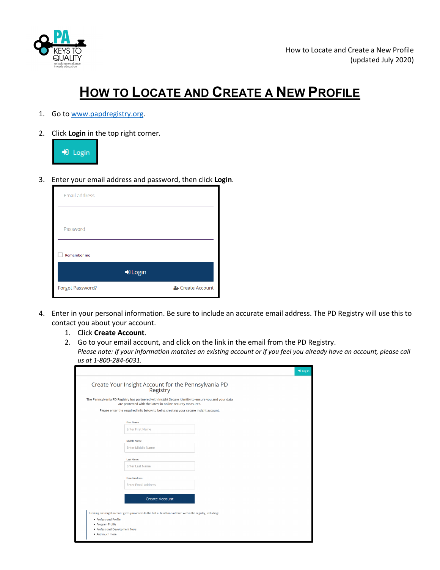

## **HOW TO LOCATE AND CREATE A NEW PROFILE**

- 1. Go to [www.papdregistry.org.](http://www.papdregistry.org/)
- 2. Click **Login** in the top right corner.



3. Enter your email address and password, then click **Login**.

| <b>Email address</b>    |                  |
|-------------------------|------------------|
|                         |                  |
| Password                |                  |
| <b>Remember me</b>      |                  |
| D Login                 |                  |
| <b>Forgot Password?</b> | & Create Account |

- 4. Enter in your personal information. Be sure to include an accurate email address. The PD Registry will use this to contact you about your account.
	- 1. Click **Create Account**.
	- 2. Go to your email account, and click on the link in the email from the PD Registry. *Please note: If your information matches an existing account or if you feel you already have an account, please call us at 1-800-284-6031.*

| Registry<br>The Pennsylvania PD Registry has partnered with Insight Secure Identity to ensure you and your data |  |  |
|-----------------------------------------------------------------------------------------------------------------|--|--|
| are protected with the latest in online security measures.                                                      |  |  |
| Please enter the required info below to being creating your secure Insight account.                             |  |  |
| <b>First Name</b>                                                                                               |  |  |
| <b>Enter First Name</b>                                                                                         |  |  |
| <b>Middle Name</b>                                                                                              |  |  |
| <b>Enter Middle Name</b>                                                                                        |  |  |
| <b>Last Name</b>                                                                                                |  |  |
| <b>Enter Last Name</b>                                                                                          |  |  |
| <b>Email Address</b>                                                                                            |  |  |
| <b>Enter Email Address</b>                                                                                      |  |  |
| <b>Create Account</b>                                                                                           |  |  |
|                                                                                                                 |  |  |
| Creating an Insight account gives you access to the full suite of tools offered within the registry, including: |  |  |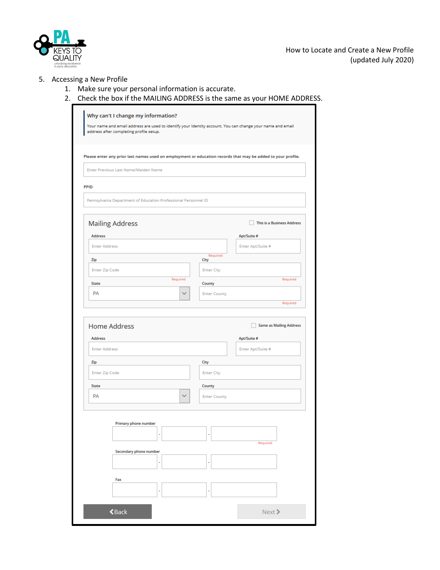

How to Locate and Create a New Profile (updated July 2020)

## 5. Accessing a New Profile

- 1. Make sure your personal information is accurate.
- 2. Check the box if the MAILING ADDRESS is the same as your HOME ADDRESS.

|                                                                |              |                     | Please enter any prior last names used on employment or education records that may be added to your profile. |
|----------------------------------------------------------------|--------------|---------------------|--------------------------------------------------------------------------------------------------------------|
| Enter Previous Last Name/Maiden Name                           |              |                     |                                                                                                              |
| PPID                                                           |              |                     |                                                                                                              |
| Pennsylvania Department of Education Professional Personnel ID |              |                     |                                                                                                              |
|                                                                |              |                     |                                                                                                              |
| <b>Mailing Address</b>                                         |              |                     | <b>This is a Business Address</b>                                                                            |
| Address                                                        |              |                     | Apt/Suite #                                                                                                  |
| <b>Enter Address</b>                                           |              | Required            | Enter Apt/Suite #                                                                                            |
| Zip                                                            |              | City                |                                                                                                              |
| <b>Enter Zip Code</b>                                          | Required     | <b>Enter City</b>   | Required                                                                                                     |
| State                                                          |              | County              |                                                                                                              |
| <b>PA</b>                                                      | $\checkmark$ | <b>Enter County</b> | Required                                                                                                     |
| <b>Home Address</b>                                            |              |                     | <b>Same as Mailing Address</b>                                                                               |
| <b>Address</b><br><b>Enter Address</b>                         |              |                     | Apt/Suite #<br>Enter Apt/Suite #                                                                             |
| Zip                                                            |              | City                |                                                                                                              |
| <b>Enter Zip Code</b>                                          |              | <b>Enter City</b>   |                                                                                                              |
| State                                                          |              | County              |                                                                                                              |
| <b>PA</b>                                                      | ×            | <b>Enter County</b> |                                                                                                              |
|                                                                |              |                     |                                                                                                              |
| <b>Primary phone number</b>                                    |              |                     |                                                                                                              |
|                                                                | ٠            | ٠                   |                                                                                                              |
|                                                                |              |                     | Required                                                                                                     |
| Secondary phone number                                         | ÷            | ٠                   |                                                                                                              |
|                                                                |              |                     |                                                                                                              |
| Fax                                                            |              |                     |                                                                                                              |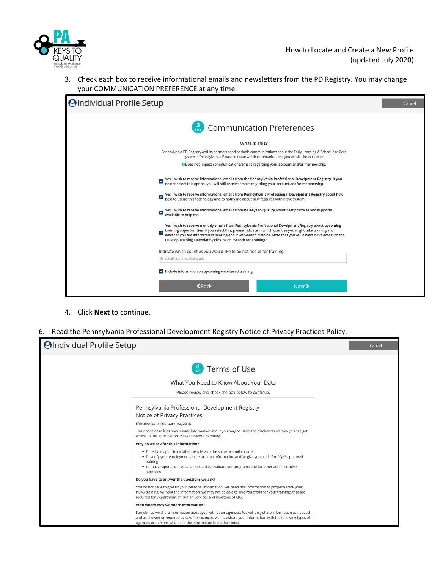

3. Check each box to receive informational emails and newsletters from the PD Registry. You may change your COMMUNICATION PREFERENCE at any time.

| <b>OIndividual Profile Setup</b>                                                                                                                                                                                                                                                                                                                                                                                                                                                                                                                                                   | Cancel |
|------------------------------------------------------------------------------------------------------------------------------------------------------------------------------------------------------------------------------------------------------------------------------------------------------------------------------------------------------------------------------------------------------------------------------------------------------------------------------------------------------------------------------------------------------------------------------------|--------|
| <b>Communication Preferences</b>                                                                                                                                                                                                                                                                                                                                                                                                                                                                                                                                                   |        |
| What is This?                                                                                                                                                                                                                                                                                                                                                                                                                                                                                                                                                                      |        |
| Pennsylvania PD Registry and its partners send periodic communications about the Early Learning & School-Age Care<br>system in Pennsylvania. Please indicate which communications you would like to receive.                                                                                                                                                                                                                                                                                                                                                                       |        |
| <b>O</b> Does not impact communications/emails regarding your account and/or membership.                                                                                                                                                                                                                                                                                                                                                                                                                                                                                           |        |
| Yes, I wish to receive informational emails from the Pennsylvania Professional Develpment Registry. If you<br>do not select this option, you will still receive emails regarding your account and/or membership.<br>V<br>Yes, I wish to receive informational emails from Pennsylvania Professional Develpment Registry about how<br>best to utilize this technology and to notify me about new features within the system.<br>▽<br>Yes, I wish to receive informational emails from PA Keys to Quality about best practices and supports<br>$\checkmark$<br>available to help me. |        |
| Yes, I wish to receive monthly emails from Pennsylvania Professional Develpment Registry about upcoming<br>training opportunities. If you select this, please indicate in which counties you might take training and<br>▽<br>whether you are interested in hearing about web-based training. Note that you will always have access to the<br>Develop Training Calendar by clicking on "Search for Training."                                                                                                                                                                       |        |
| Indicate which counties you would like to be notified of for training.                                                                                                                                                                                                                                                                                                                                                                                                                                                                                                             |        |
| Select all counties that apply                                                                                                                                                                                                                                                                                                                                                                                                                                                                                                                                                     |        |
| Include information on upcoming web-based training.                                                                                                                                                                                                                                                                                                                                                                                                                                                                                                                                |        |
| $\triangle$ Back<br>Next                                                                                                                                                                                                                                                                                                                                                                                                                                                                                                                                                           |        |

- 4. Click **Next** to continue.
- 6. Read the Pennsylvania Professional Development Registry Notice of Privacy Practices Policy.

| <b>OIndividual Profile Setup</b>            |                                                                                                                                                                                                                                                                                                | Cancel |
|---------------------------------------------|------------------------------------------------------------------------------------------------------------------------------------------------------------------------------------------------------------------------------------------------------------------------------------------------|--------|
|                                             | $\left(\begin{matrix} 4 \\ \frac{1}{\text{Step}} \end{matrix}\right)$ Terms of Use                                                                                                                                                                                                             |        |
|                                             | What You Need to Know About Your Data                                                                                                                                                                                                                                                          |        |
|                                             | Please review and check the box below to continue.                                                                                                                                                                                                                                             |        |
|                                             | Pennsylvania Professional Development Registry<br>Notice of Privacy Practices                                                                                                                                                                                                                  |        |
|                                             | Effective Date: February 1st, 2018                                                                                                                                                                                                                                                             |        |
|                                             | This notice describes how private information about you may be used and disclosed and how you can get<br>access to this information. Please review it carefully.                                                                                                                               |        |
|                                             | Why do we ask for this information?                                                                                                                                                                                                                                                            |        |
|                                             | . To tell you apart from other people with the same or similar name<br>. To verify your employment and education information and/or give you credit for PQAS approved<br>training<br>. To make reports, do research, do audits, evaluate our programs and for other administrative<br>purposes |        |
| Do you have to answer the questions we ask? |                                                                                                                                                                                                                                                                                                |        |
|                                             | You do not have to give us your personal information. We need this information to properly track your<br>PQAS training. Without the information, we may not be able to give you credit for your trainings that are<br>required for Department of Human Services and Keystone STARS.            |        |
|                                             | With whom may we share information?                                                                                                                                                                                                                                                            |        |
|                                             | Sometimes we share information about you with other agencies. We will only share information as needed<br>and as allowed or required by law. For example, we may share your information with the following types of<br>agencies or persons who need the information to do their jobs:          |        |